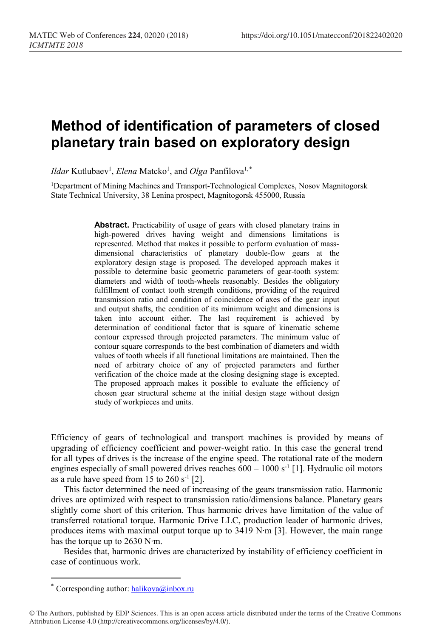## **Method of identification of parameters of closed planetary train based on exploratory design**

*Ildar* Kutlubaev<sup>1</sup>, *Elena* Matcko<sup>1</sup>, and *Olga* Panfilova<sup>1,[\\*](#page-0-0)</sup>

1Department of Mining Machines and Transport-Technological Complexes, Nosov Magnitogorsk State Technical University, 38 Lenina prospect, Magnitogorsk 455000, Russia

> **Abstract.** Practicability of usage of gears with closed planetary trains in high-powered drives having weight and dimensions limitations is represented. Method that makes it possible to perform evaluation of massdimensional characteristics of planetary double-flow gears at the exploratory design stage is proposed. The developed approach makes it possible to determine basic geometric parameters of gear-tooth system: diameters and width of tooth-wheels reasonably. Besides the obligatory fulfillment of contact tooth strength conditions, providing of the required transmission ratio and condition of coincidence of axes of the gear input and output shafts, the condition of its minimum weight and dimensions is taken into account either. The last requirement is achieved by determination of conditional factor that is square of kinematic scheme contour expressed through projected parameters. The minimum value of contour square corresponds to the best combination of diameters and width values of tooth wheels if all functional limitations are maintained. Then the need of arbitrary choice of any of projected parameters and further verification of the choice made at the closing designing stage is excepted. The proposed approach makes it possible to evaluate the efficiency of chosen gear structural scheme at the initial design stage without design study of workpieces and units.

Efficiency of gears of technological and transport machines is provided by means of upgrading of efficiency coefficient and power-weight ratio. In this case the general trend for all types of drives is the increase of the engine speed. The rotational rate of the modern engines especially of small powered drives reaches  $600 - 1000$  s<sup>-1</sup> [1]. Hydraulic oil motors as a rule have speed from 15 to  $260 s^{-1}$  [2].

This factor determined the need of increasing of the gears transmission ratio. Harmonic drives are optimized with respect to transmission ratio/dimensions balance. Planetary gears slightly come short of this criterion. Thus harmonic drives have limitation of the value of transferred rotational torque. Harmonic Drive LLC, production leader of harmonic drives, produces items with maximal output torque up to 3419 N∙m [3]. However, the main range has the torque up to 2630 N∙m.

Besides that, harmonic drives are characterized by instability of efficiency coefficient in case of continuous work.

 $\overline{a}$ 

<sup>\*</sup> Corresponding author:  $\text{halikova}(a)$ inbox.ru

<span id="page-0-0"></span><sup>©</sup> The Authors, published by EDP Sciences. This is an open access article distributed under the terms of the Creative Commons Attribution License 4.0 (http://creativecommons.org/licenses/by/4.0/).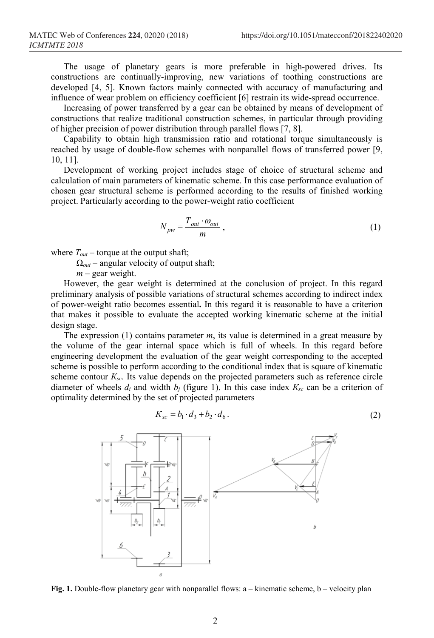The usage of planetary gears is more preferable in high-powered drives. Its constructions are continually-improving, new variations of toothing constructions are developed [4, 5]. Known factors mainly connected with accuracy of manufacturing and influence of wear problem on efficiency coefficient [6] restrain its wide-spread occurrence.

Increasing of power transferred by a gear can be obtained by means of development of constructions that realize traditional construction schemes, in particular through providing of higher precision of power distribution through parallel flows [7, 8].

Capability to obtain high transmission ratio and rotational torque simultaneously is reached by usage of double-flow schemes with nonparallel flows of transferred power [9, 10, 11].

Development of working project includes stage of choice of structural scheme and calculation of main parameters of kinematic scheme. In this case performance evaluation of chosen gear structural scheme is performed according to the results of finished working project. Particularly according to the power-weight ratio coefficient

$$
N_{pw} = \frac{T_{out} \cdot \omega_{out}}{m} \,,\tag{1}
$$

where  $T_{out}$  – torque at the output shaft;

Ω*out* – angular velocity of output shaft;

*m* – gear weight.

However, the gear weight is determined at the conclusion of project. In this regard preliminary analysis of possible variations of structural schemes according to indirect index of power-weight ratio becomes essential**.** In this regard it is reasonable to have a criterion that makes it possible to evaluate the accepted working kinematic scheme at the initial design stage.

The expression (1) contains parameter *m*, its value is determined in a great measure by the volume of the gear internal space which is full of wheels. In this regard before engineering development the evaluation of the gear weight corresponding to the accepted scheme is possible to perform according to the conditional index that is square of kinematic scheme contour  $K_{sc}$ . Its value depends on the projected parameters such as reference circle diameter of wheels  $d_i$  and width  $b_j$  (figure 1). In this case index  $K_{sc}$  can be a criterion of optimality determined by the set of projected parameters

$$
K_{sc} = b_1 \cdot d_3 + b_2 \cdot d_6. \tag{2}
$$



**Fig. 1.** Double-flow planetary gear with nonparallel flows: a – kinematic scheme, b – velocity plan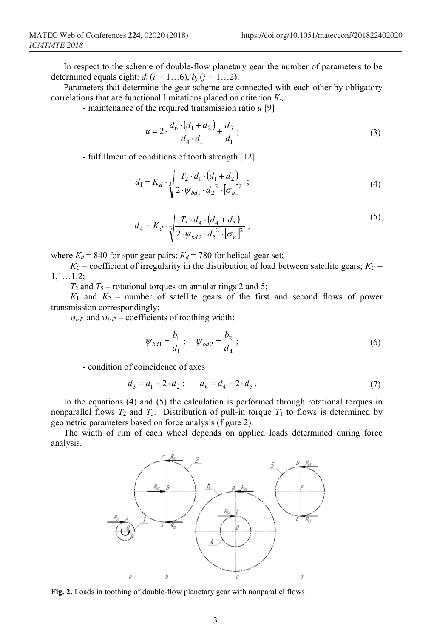In respect to the scheme of double-flow planetary gear the number of parameters to be determined equals eight:  $d_i$  ( $i = 1...6$ ),  $b_j$  ( $j = 1...2$ ).

Parameters that determine the gear scheme are connected with each other by obligatory correlations that are functional limitations placed on criterion *Кsc*:

- maintenance of the required transmission ratio *u* [9]

$$
u = 2 \cdot \frac{d_6 \cdot (d_1 + d_2)}{d_4 \cdot d_1} + \frac{d_3}{d_1};
$$
\n(3)

- fulfillment of conditions of tooth strength [12]

$$
d_1 = K_d \cdot \sqrt[3]{\frac{T_2 \cdot d_1 \cdot (d_1 + d_2)}{2 \cdot \psi_{bd_1} \cdot d_2^2 \cdot [\sigma_n]^2}} ;
$$
 (4)

$$
d_4 = K_d \cdot \sqrt[3]{\frac{T_5 \cdot d_4 \cdot (d_4 + d_5)}{2 \cdot \psi_{bd2} \cdot d_5^2 \cdot [\sigma_n]^2}},
$$
\n(5)

where  $K_d$  = 840 for spur gear pairs;  $K_d$  = 780 for helical-gear set;

 $K_C$  – coefficient of irregularity in the distribution of load between satellite gears;  $K_C$  = 1,1…1,2;

 $T_2$  and  $T_5$  – rotational torques on annular rings 2 and 5;

 $K_1$  and  $K_2$  – number of satellite gears of the first and second flows of power transmission correspondingly;

ψ*bd*<sup>1</sup> and ψ*bd*<sup>2</sup> – coefficients of toothing width:

$$
\psi_{bd1} = \frac{b_1}{d_1}; \quad \psi_{bd2} = \frac{b_2}{d_4}; \tag{6}
$$

- condition of coincidence of axes

$$
d_3 = d_1 + 2 \cdot d_2; \qquad d_6 = d_4 + 2 \cdot d_5. \tag{7}
$$

In the equations (4) and (5) the calculation is performed through rotational torques in nonparallel flows  $T_2$  and  $T_5$ . Distribution of pull-in torque  $T_1$  to flows is determined by geometric parameters based on force analysis (figure 2).

The width of rim of each wheel depends on applied loads determined during force analysis.



**Fig. 2.** Loads in toothing of double-flow planetary gear with nonparallel flows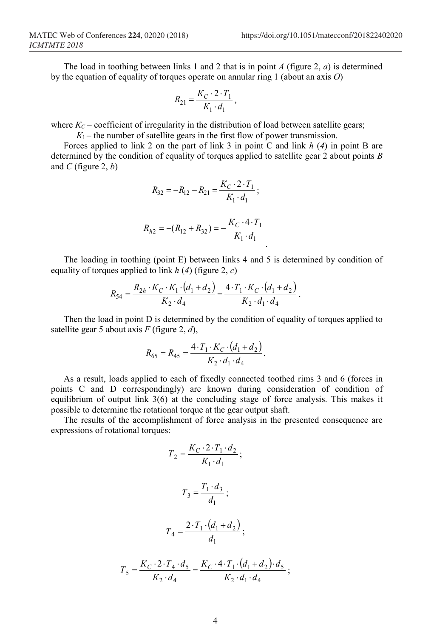The load in toothing between links 1 and 2 that is in point *А* (figure 2, *а*) is determined by the equation of equality of torques operate on annular ring 1 (about an axis *O*)

$$
R_{21} = \frac{K_C \cdot 2 \cdot T_1}{K_1 \cdot d_1},
$$

where  $K_C$  – coefficient of irregularity in the distribution of load between satellite gears;

 $K_1$  – the number of satellite gears in the first flow of power transmission.

Forces applied to link 2 on the part of link 3 in point C and link *h* (*4*) in point B are determined by the condition of equality of torques applied to satellite gear 2 about points *B* and *С* (figure 2, *b*)

$$
R_{32} = -R_{12} - R_{21} = \frac{K_C \cdot 2 \cdot T_1}{K_1 \cdot d_1};
$$

$$
R_{h2} = -(R_{12} + R_{32}) = -\frac{K_C \cdot 4 \cdot T_1}{K_1 \cdot d_1}
$$

The loading in toothing (point E) between links 4 and 5 is determined by condition of equality of torques applied to link *h* (*4*) (figure 2, *c*)

.

$$
R_{54} = \frac{R_{2h} \cdot K_C \cdot K_1 \cdot (d_1 + d_2)}{K_2 \cdot d_4} = \frac{4 \cdot T_1 \cdot K_C \cdot (d_1 + d_2)}{K_2 \cdot d_1 \cdot d_4}.
$$

Then the load in point D is determined by the condition of equality of torques applied to satellite gear 5 about axis *F* (figure 2, *d*),

$$
R_{65} = R_{45} = \frac{4 \cdot T_1 \cdot K_C \cdot (d_1 + d_2)}{K_2 \cdot d_1 \cdot d_4}.
$$

As a result, loads applied to each of fixedly connected toothed rims 3 and 6 (forces in points C and D correspondingly) are known during consideration of condition of equilibrium of output link 3(6) at the concluding stage of force analysis. This makes it possible to determine the rotational torque at the gear output shaft.

The results of the accomplishment of force analysis in the presented consequence are expressions of rotational torques:

$$
T_2 = \frac{K_C \cdot 2 \cdot T_1 \cdot d_2}{K_1 \cdot d_1};
$$
  
\n
$$
T_3 = \frac{T_1 \cdot d_3}{d_1};
$$
  
\n
$$
T_4 = \frac{2 \cdot T_1 \cdot (d_1 + d_2)}{d_1};
$$
  
\n
$$
T_5 = \frac{K_C \cdot 2 \cdot T_4 \cdot d_5}{K_2 \cdot d_4} = \frac{K_C \cdot 4 \cdot T_1 \cdot (d_1 + d_2) \cdot d_5}{K_2 \cdot d_1 \cdot d_4};
$$

 $2 u_4$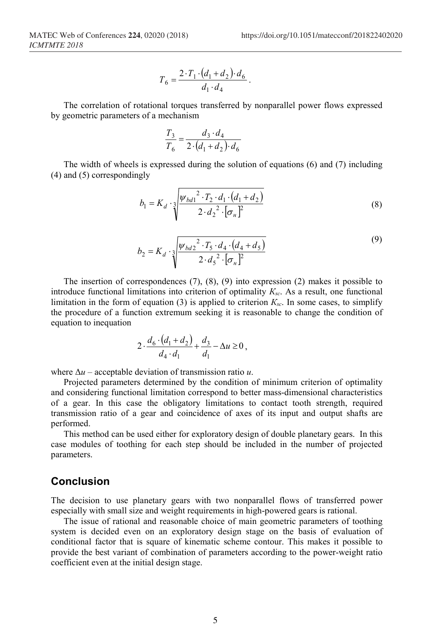$$
T_6 = \frac{2 \cdot T_1 \cdot (d_1 + d_2) \cdot d_6}{d_1 \cdot d_4}.
$$

The correlation of rotational torques transferred by nonparallel power flows expressed by geometric parameters of a mechanism

$$
\frac{T_3}{T_6} = \frac{d_3 \cdot d_4}{2 \cdot (d_1 + d_2) \cdot d_6}
$$

The width of wheels is expressed during the solution of equations (6) and (7) including (4) and (5) correspondingly

$$
b_1 = K_d \cdot \sqrt[3]{\frac{\psi_{bd1}^2 \cdot T_2 \cdot d_1 \cdot (d_1 + d_2)}{2 \cdot d_2^2 \cdot [\sigma_n]^2}}
$$
(8)

$$
b_2 = K_d \cdot \sqrt[3]{\frac{\psi_{bd2}^2 \cdot T_5 \cdot d_4 \cdot (d_4 + d_5)}{2 \cdot d_5^2 \cdot [\sigma_u]^2}}
$$
(9)

The insertion of correspondences  $(7)$ ,  $(8)$ ,  $(9)$  into expression  $(2)$  makes it possible to introduce functional limitations into criterion of optimality *Кsc*. As a result, one functional limitation in the form of equation (3) is applied to criterion *Кsc*. In some cases, to simplify the procedure of a function extremum seeking it is reasonable to change the condition of equation to inequation

$$
2 \cdot \frac{d_6 \cdot (d_1 + d_2)}{d_4 \cdot d_1} + \frac{d_3}{d_1} - \Delta u \ge 0,
$$

where Δ*u* – acceptable deviation of transmission ratio *u*.

Projected parameters determined by the condition of minimum criterion of optimality and considering functional limitation correspond to better mass-dimensional characteristics of a gear. In this case the obligatory limitations to contact tooth strength, required transmission ratio of a gear and coincidence of axes of its input and output shafts are performed.

This method can be used either for exploratory design of double planetary gears. In this case modules of toothing for each step should be included in the number of projected parameters.

## **Conclusion**

The decision to use planetary gears with two nonparallel flows of transferred power especially with small size and weight requirements in high-powered gears is rational.

The issue of rational and reasonable choice of main geometric parameters of toothing system is decided even on an exploratory design stage on the basis of evaluation of conditional factor that is square of kinematic scheme contour. This makes it possible to provide the best variant of combination of parameters according to the power-weight ratio coefficient even at the initial design stage.